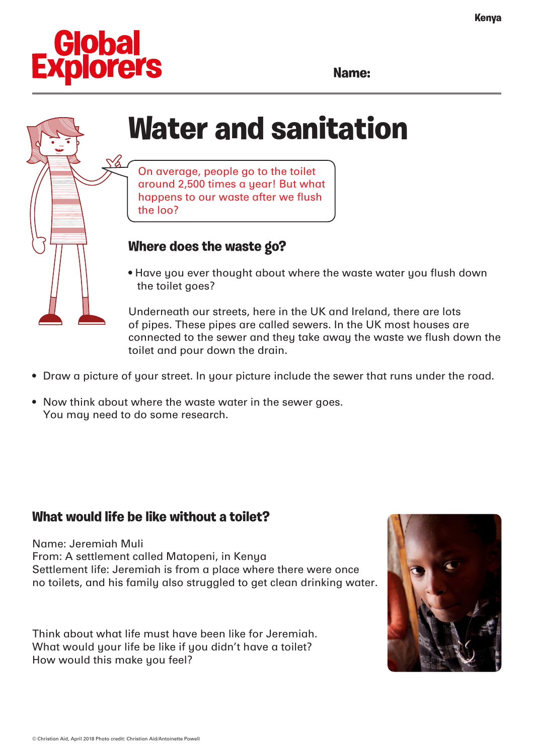

**Name:**

# **Water and sanitation**

On average, people go to the toilet around 2,500 times a year! But what happens to our waste after we flush the loo?

### **Where does the waste go?**

• Have you ever thought about where the waste water you flush down the toilet goes?

Underneath our streets, here in the UK and Ireland, there are lots of pipes. These pipes are called sewers. In the UK most houses are connected to the sewer and they take away the waste we flush down the toilet and pour down the drain.

- Draw a picture of your street. In your picture include the sewer that runs under the road.
- Now think about where the waste water in the sewer goes. You may need to do some research.

#### **What would life be like without a toilet?**

Name: Jeremiah Muli From: A settlement called Matopeni, in Kenya Settlement life: Jeremiah is from a place where there were once no toilets, and his family also struggled to get clean drinking water.

Think about what life must have been like for Jeremiah. What would your life be like if you didn't have a toilet? How would this make you feel?

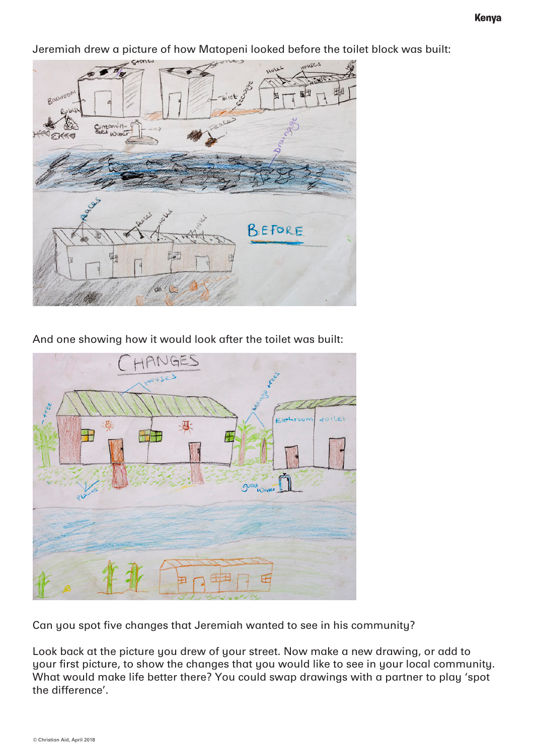Jeremiah drew a picture of how Matopeni looked before the toilet block was built:



And one showing how it would look after the toilet was built:



Can you spot five changes that Jeremiah wanted to see in his community?

Look back at the picture you drew of your street. Now make a new drawing, or add to your first picture, to show the changes that you would like to see in your local community. What would make life better there? You could swap drawings with a partner to play 'spot the difference'.